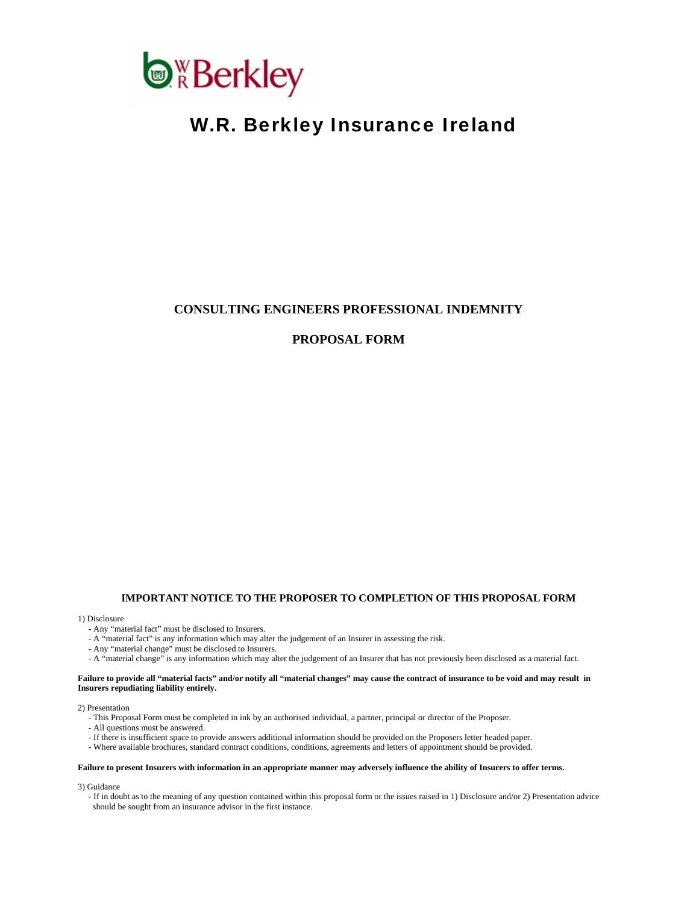

# W.R. Berkley Insurance Ireland

# **CONSULTING ENGINEERS PROFESSIONAL INDEMNITY**

# **PROPOSAL FORM**

#### **IMPORTANT NOTICE TO THE PROPOSER TO COMPLETION OF THIS PROPOSAL FORM**

#### 1) Disclosure

- Any "material fact" must be disclosed to Insurers.
- A "material fact" is any information which may alter the judgement of an Insurer in assessing the risk.
- Any "material change" must be disclosed to Insurers.
- A "material change" is any information which may alter the judgement of an Insurer that has not previously been disclosed as a material fact.

#### **Failure to provide all "material facts" and/or notify all "material changes" may cause the contract of insurance to be void and may result in Insurers repudiating liability entirely.**

#### 2) Presentation

- This Proposal Form must be completed in ink by an authorised individual, a partner, principal or director of the Proposer.
- All questions must be answered.
- If there is insufficient space to provide answers additional information should be provided on the Proposers letter headed paper.
- Where available brochures, standard contract conditions, conditions, agreements and letters of appointment should be provided.

#### **Failure to present Insurers with information in an appropriate manner may adversely influence the ability of Insurers to offer terms.**

- 3) Guidance
	- If in doubt as to the meaning of any question contained within this proposal form or the issues raised in 1) Disclosure and/or 2) Presentation advice should be sought from an insurance advisor in the first instance.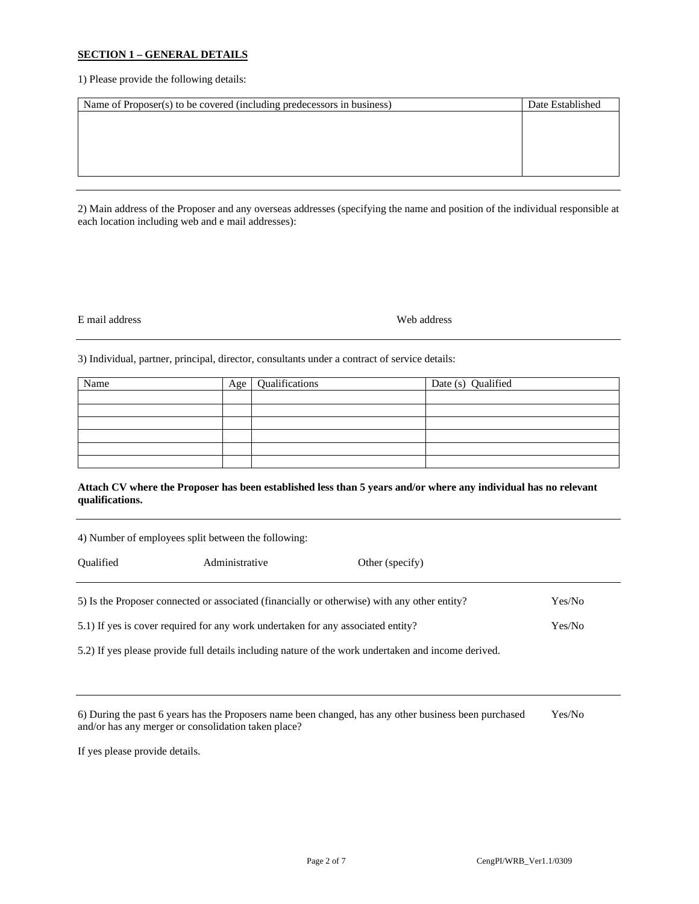## **SECTION 1 – GENERAL DETAILS**

1) Please provide the following details:

| Name of Proposer(s) to be covered (including predecessors in business) | Date Established |
|------------------------------------------------------------------------|------------------|
|                                                                        |                  |
|                                                                        |                  |
|                                                                        |                  |
|                                                                        |                  |
|                                                                        |                  |

2) Main address of the Proposer and any overseas addresses (specifying the name and position of the individual responsible at each location including web and e mail addresses):

#### E mail address Web address

3) Individual, partner, principal, director, consultants under a contract of service details:

| Name | Age | Qualifications | Date (s) Qualified |
|------|-----|----------------|--------------------|
|      |     |                |                    |
|      |     |                |                    |
|      |     |                |                    |
|      |     |                |                    |
|      |     |                |                    |
|      |     |                |                    |

## **Attach CV where the Proposer has been established less than 5 years and/or where any individual has no relevant qualifications.**

| 4) Number of employees split between the following:                                                    |                |                 |  |  |  |
|--------------------------------------------------------------------------------------------------------|----------------|-----------------|--|--|--|
| <b>Oualified</b>                                                                                       | Administrative | Other (specify) |  |  |  |
| 5) Is the Proposer connected or associated (financially or otherwise) with any other entity?<br>Yes/No |                |                 |  |  |  |
| 5.1) If yes is cover required for any work undertaken for any associated entity?<br>Yes/No             |                |                 |  |  |  |
| 5.2) If yes please provide full details including nature of the work undertaken and income derived.    |                |                 |  |  |  |

| 6) During the past 6 years has the Proposers name been changed, has any other business been purchased | Yes/No |
|-------------------------------------------------------------------------------------------------------|--------|
| and/or has any merger or consolidation taken place?                                                   |        |

If yes please provide details.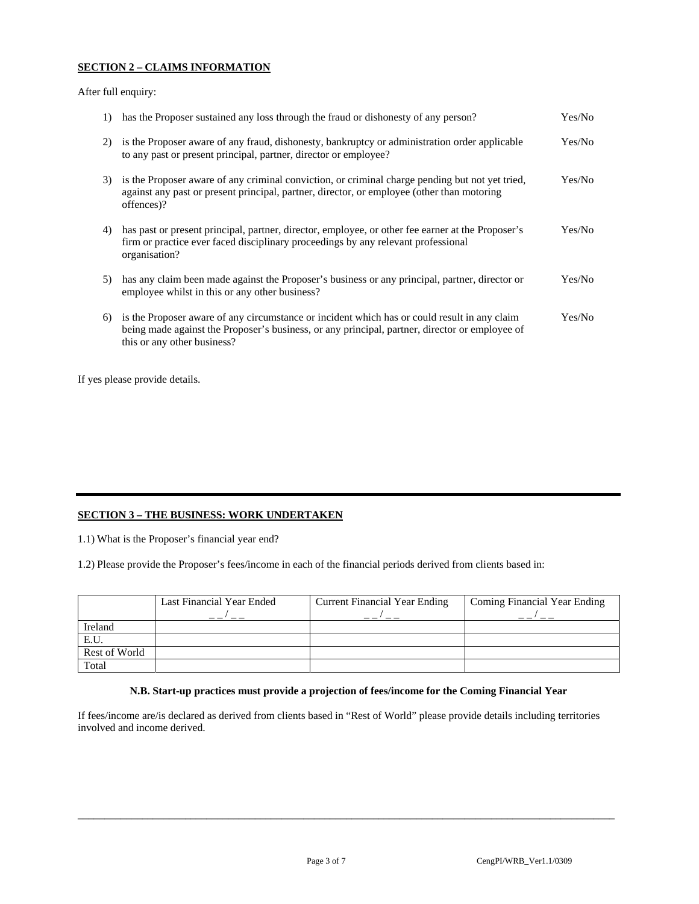## **SECTION 2 – CLAIMS INFORMATION**

After full enquiry:

| $\left( \frac{1}{2} \right)$ | has the Proposer sustained any loss through the fraud or dishonesty of any person?                                                                                                                                            | Yes/No |
|------------------------------|-------------------------------------------------------------------------------------------------------------------------------------------------------------------------------------------------------------------------------|--------|
| 2)                           | is the Proposer aware of any fraud, dishonesty, bankruptcy or administration order applicable<br>to any past or present principal, partner, director or employee?                                                             | Yes/No |
| 3)                           | is the Proposer aware of any criminal conviction, or criminal charge pending but not yet tried,<br>against any past or present principal, partner, director, or employee (other than motoring<br>offences)?                   | Yes/No |
| 4)                           | has past or present principal, partner, director, employee, or other fee earner at the Proposer's<br>firm or practice ever faced disciplinary proceedings by any relevant professional<br>organisation?                       | Yes/No |
| 5)                           | has any claim been made against the Proposer's business or any principal, partner, director or<br>employee whilst in this or any other business?                                                                              | Yes/No |
| 6)                           | is the Proposer aware of any circumstance or incident which has or could result in any claim<br>being made against the Proposer's business, or any principal, partner, director or employee of<br>this or any other business? | Yes/No |

If yes please provide details.

# **SECTION 3 – THE BUSINESS: WORK UNDERTAKEN**

1.1) What is the Proposer's financial year end?

1.2) Please provide the Proposer's fees/income in each of the financial periods derived from clients based in:

|               | Last Financial Year Ended | <b>Current Financial Year Ending</b> | Coming Financial Year Ending |
|---------------|---------------------------|--------------------------------------|------------------------------|
| Ireland       |                           |                                      |                              |
| E.U.          |                           |                                      |                              |
| Rest of World |                           |                                      |                              |
| Total         |                           |                                      |                              |

## **N.B. Start-up practices must provide a projection of fees/income for the Coming Financial Year**

\_\_\_\_\_\_\_\_\_\_\_\_\_\_\_\_\_\_\_\_\_\_\_\_\_\_\_\_\_\_\_\_\_\_\_\_\_\_\_\_\_\_\_\_\_\_\_\_\_\_\_\_\_\_\_\_\_\_\_\_\_\_\_\_\_\_\_\_\_\_\_\_\_\_\_\_\_\_\_\_\_\_\_\_\_\_\_\_\_\_\_\_\_\_\_\_\_\_\_\_

If fees/income are/is declared as derived from clients based in "Rest of World" please provide details including territories involved and income derived.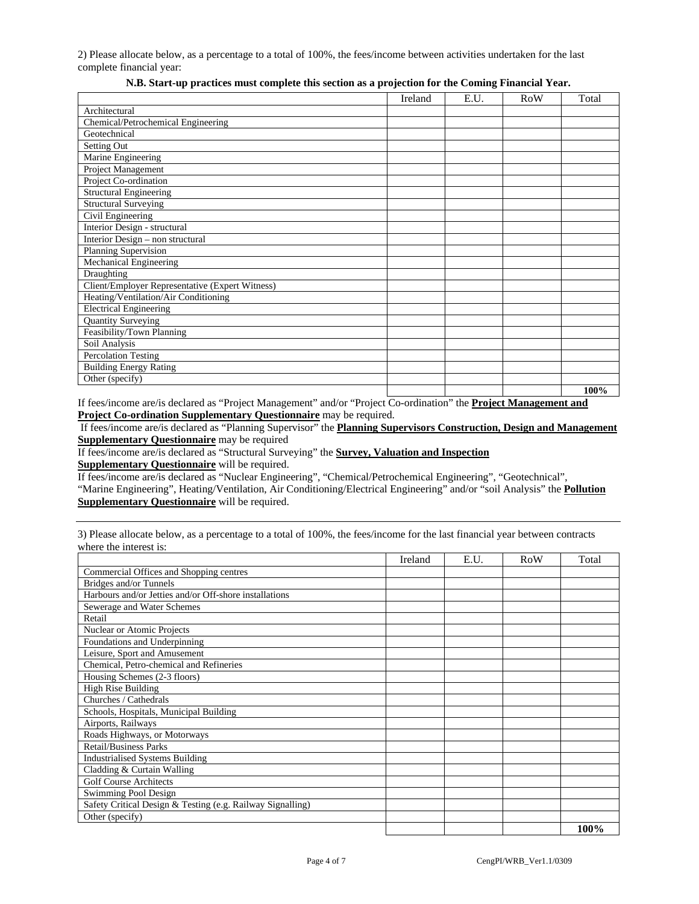2) Please allocate below, as a percentage to a total of 100%, the fees/income between activities undertaken for the last complete financial year:

|                                                 | Ireland | E.U. | <b>RoW</b> | Total |
|-------------------------------------------------|---------|------|------------|-------|
| Architectural                                   |         |      |            |       |
| Chemical/Petrochemical Engineering              |         |      |            |       |
| Geotechnical                                    |         |      |            |       |
| Setting Out                                     |         |      |            |       |
| Marine Engineering                              |         |      |            |       |
| Project Management                              |         |      |            |       |
| Project Co-ordination                           |         |      |            |       |
| <b>Structural Engineering</b>                   |         |      |            |       |
| <b>Structural Surveying</b>                     |         |      |            |       |
| Civil Engineering                               |         |      |            |       |
| Interior Design - structural                    |         |      |            |       |
| Interior Design - non structural                |         |      |            |       |
| Planning Supervision                            |         |      |            |       |
| Mechanical Engineering                          |         |      |            |       |
| Draughting                                      |         |      |            |       |
| Client/Employer Representative (Expert Witness) |         |      |            |       |
| Heating/Ventilation/Air Conditioning            |         |      |            |       |
| <b>Electrical Engineering</b>                   |         |      |            |       |
| <b>Quantity Surveying</b>                       |         |      |            |       |
| Feasibility/Town Planning                       |         |      |            |       |
| Soil Analysis                                   |         |      |            |       |
| Percolation Testing                             |         |      |            |       |
| <b>Building Energy Rating</b>                   |         |      |            |       |
| Other (specify)                                 |         |      |            |       |
|                                                 |         |      |            | 100%  |

## **N.B. Start-up practices must complete this section as a projection for the Coming Financial Year.**

If fees/income are/is declared as "Project Management" and/or "Project Co-ordination" the **Project Management and Project Co-ordination Supplementary Questionnaire** may be required.

 If fees/income are/is declared as "Planning Supervisor" the **Planning Supervisors Construction, Design and Management Supplementary Questionnaire** may be required

If fees/income are/is declared as "Structural Surveying" the **Survey, Valuation and Inspection Supplementary Questionnaire** will be required.

If fees/income are/is declared as "Nuclear Engineering", "Chemical/Petrochemical Engineering", "Geotechnical", "Marine Engineering", Heating/Ventilation, Air Conditioning/Electrical Engineering" and/or "soil Analysis" the **Pollution Supplementary Questionnaire** will be required.

3) Please allocate below, as a percentage to a total of 100%, the fees/income for the last financial year between contracts where the interest is:

|                                                            | Ireland | E.U. | RoW | Total |
|------------------------------------------------------------|---------|------|-----|-------|
| Commercial Offices and Shopping centres                    |         |      |     |       |
| Bridges and/or Tunnels                                     |         |      |     |       |
| Harbours and/or Jetties and/or Off-shore installations     |         |      |     |       |
| Sewerage and Water Schemes                                 |         |      |     |       |
| Retail                                                     |         |      |     |       |
| Nuclear or Atomic Projects                                 |         |      |     |       |
| Foundations and Underpinning                               |         |      |     |       |
| Leisure, Sport and Amusement                               |         |      |     |       |
| Chemical, Petro-chemical and Refineries                    |         |      |     |       |
| Housing Schemes (2-3 floors)                               |         |      |     |       |
| High Rise Building                                         |         |      |     |       |
| Churches / Cathedrals                                      |         |      |     |       |
| Schools, Hospitals, Municipal Building                     |         |      |     |       |
| Airports, Railways                                         |         |      |     |       |
| Roads Highways, or Motorways                               |         |      |     |       |
| <b>Retail/Business Parks</b>                               |         |      |     |       |
| <b>Industrialised Systems Building</b>                     |         |      |     |       |
| Cladding & Curtain Walling                                 |         |      |     |       |
| <b>Golf Course Architects</b>                              |         |      |     |       |
| Swimming Pool Design                                       |         |      |     |       |
| Safety Critical Design & Testing (e.g. Railway Signalling) |         |      |     |       |
| Other (specify)                                            |         |      |     |       |
|                                                            |         |      |     | 100%  |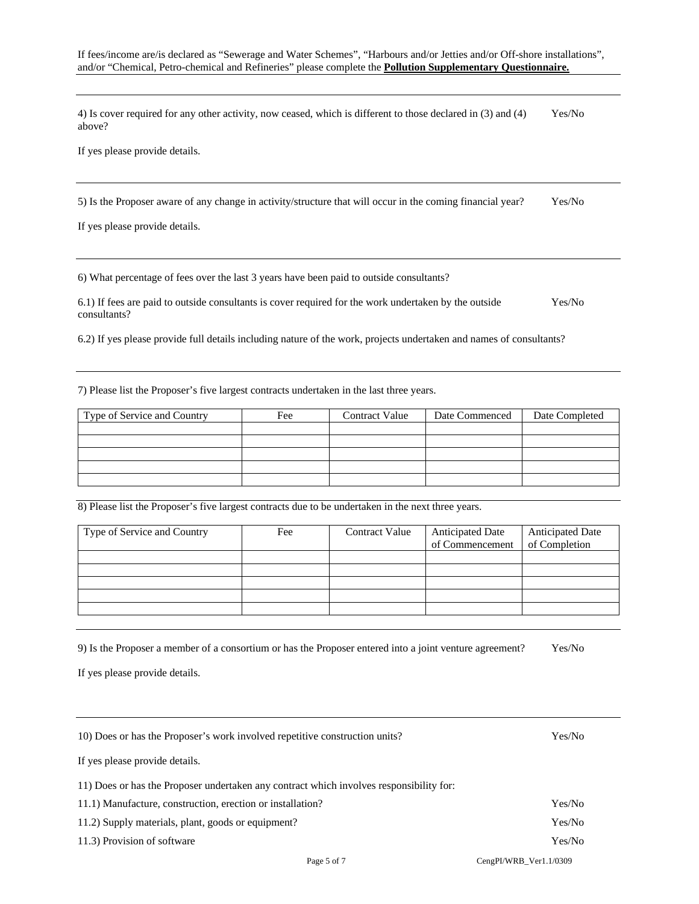4) Is cover required for any other activity, now ceased, which is different to those declared in (3) and (4) Yes/No above?

If yes please provide details.

5) Is the Proposer aware of any change in activity/structure that will occur in the coming financial year? Yes/No

If yes please provide details.

6) What percentage of fees over the last 3 years have been paid to outside consultants?

6.1) If fees are paid to outside consultants is cover required for the work undertaken by the outside Yes/No consultants?

6.2) If yes please provide full details including nature of the work, projects undertaken and names of consultants?

7) Please list the Proposer's five largest contracts undertaken in the last three years.

| Type of Service and Country | Fee | <b>Contract Value</b> | Date Commenced | Date Completed |
|-----------------------------|-----|-----------------------|----------------|----------------|
|                             |     |                       |                |                |
|                             |     |                       |                |                |
|                             |     |                       |                |                |
|                             |     |                       |                |                |
|                             |     |                       |                |                |

8) Please list the Proposer's five largest contracts due to be undertaken in the next three years.

| Type of Service and Country | Fee | <b>Contract Value</b> | <b>Anticipated Date</b><br>of Commencement | Anticipated Date<br>of Completion |
|-----------------------------|-----|-----------------------|--------------------------------------------|-----------------------------------|
|                             |     |                       |                                            |                                   |
|                             |     |                       |                                            |                                   |
|                             |     |                       |                                            |                                   |
|                             |     |                       |                                            |                                   |
|                             |     |                       |                                            |                                   |

9) Is the Proposer a member of a consortium or has the Proposer entered into a joint venture agreement? Yes/No

If yes please provide details.

| 10) Does or has the Proposer's work involved repetitive construction units?             | Yes/No                 |
|-----------------------------------------------------------------------------------------|------------------------|
| If yes please provide details.                                                          |                        |
| 11) Does or has the Proposer undertaken any contract which involves responsibility for: |                        |
| 11.1) Manufacture, construction, erection or installation?                              | Yes/No                 |
| 11.2) Supply materials, plant, goods or equipment?                                      | Yes/No                 |
| 11.3) Provision of software                                                             | Yes/No                 |
| Page 5 of 7                                                                             | CengPI/WRB Ver1.1/0309 |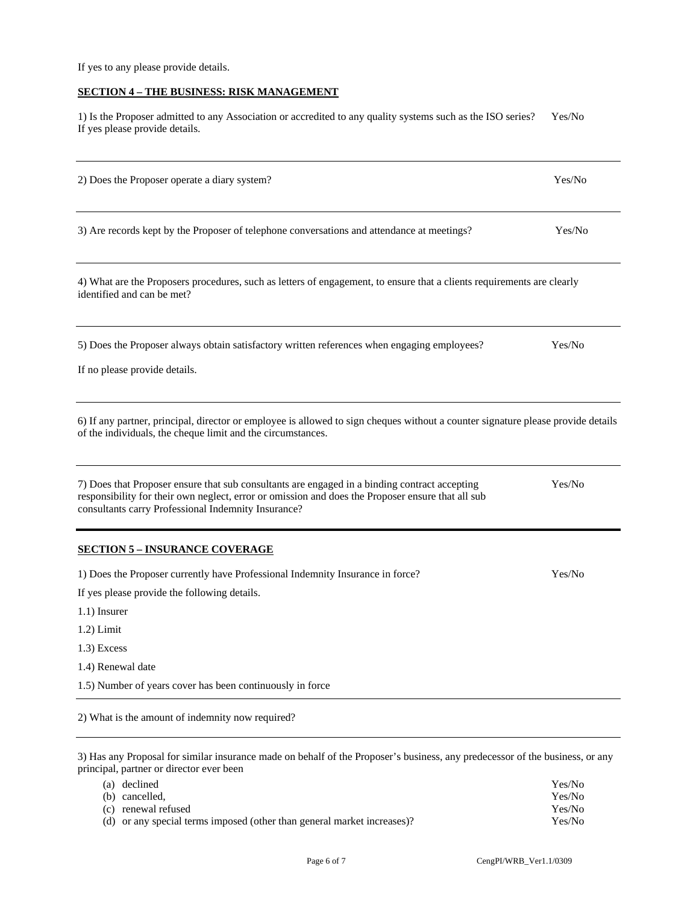If yes to any please provide details.

# **SECTION 4 – THE BUSINESS: RISK MANAGEMENT**

1) Is the Proposer admitted to any Association or accredited to any quality systems such as the ISO series? Yes/No If yes please provide details.

| 2) Does the Proposer operate a diary system?                                                                                                                                                                                                              | Yes/No |
|-----------------------------------------------------------------------------------------------------------------------------------------------------------------------------------------------------------------------------------------------------------|--------|
| 3) Are records kept by the Proposer of telephone conversations and attendance at meetings?                                                                                                                                                                | Yes/No |
| 4) What are the Proposers procedures, such as letters of engagement, to ensure that a clients requirements are clearly<br>identified and can be met?                                                                                                      |        |
| 5) Does the Proposer always obtain satisfactory written references when engaging employees?<br>If no please provide details.                                                                                                                              | Yes/No |
| 6) If any partner, principal, director or employee is allowed to sign cheques without a counter signature please provide details<br>of the individuals, the cheque limit and the circumstances.                                                           |        |
| 7) Does that Proposer ensure that sub consultants are engaged in a binding contract accepting<br>responsibility for their own neglect, error or omission and does the Proposer ensure that all sub<br>consultants carry Professional Indemnity Insurance? | Yes/No |
| <b>SECTION 5 - INSURANCE COVERAGE</b>                                                                                                                                                                                                                     |        |
| 1) Does the Proposer currently have Professional Indemnity Insurance in force?<br>If yes please provide the following details.<br>$1.1$ ) Insurer<br>$1.2$ ) Limit<br>$1.3$ ) Excess                                                                      | Yes/No |
| 1.4) Renewal date                                                                                                                                                                                                                                         |        |
| 1.5) Number of years cover has been continuously in force                                                                                                                                                                                                 |        |
| 2) What is the amount of indemnity now required?                                                                                                                                                                                                          |        |
| 3) Has any Proposal for similar insurance made on behalf of the Proposer's business, any predecessor of the business, or any<br>principal, partner or director ever been                                                                                  |        |

| (a) declined                                                            | Yes/No |
|-------------------------------------------------------------------------|--------|
| (b) cancelled,                                                          | Yes/No |
| (c) renewal refused                                                     | Yes/No |
| (d) or any special terms imposed (other than general market increases)? | Yes/No |